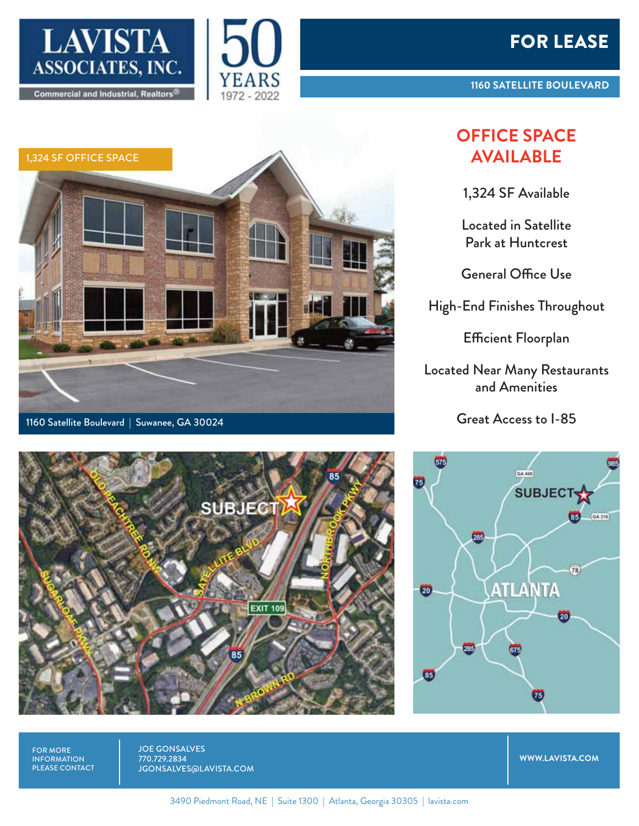

1160 Satellite Boulevard | Suwanee, GA 30024

1,324 SF OFFICE SPACE







1,324 SF Available

Located in Satellite Park at Huntcrest

General Office Use

High-End Finishes Throughout

Efficient Floorplan

Located Near Many Restaurants and Amenities

Great Access to I-85





FOR MORE INFORMATION PLEASE CONTACT JOE GONSALVES 770.729.2834 JGONSALVES@LAVISTA.COM

**WWW.LAVISTA.COM**

3490 Piedmont Road, NE | Suite 1300 | Atlanta, Georgia 30305 | lavista.com